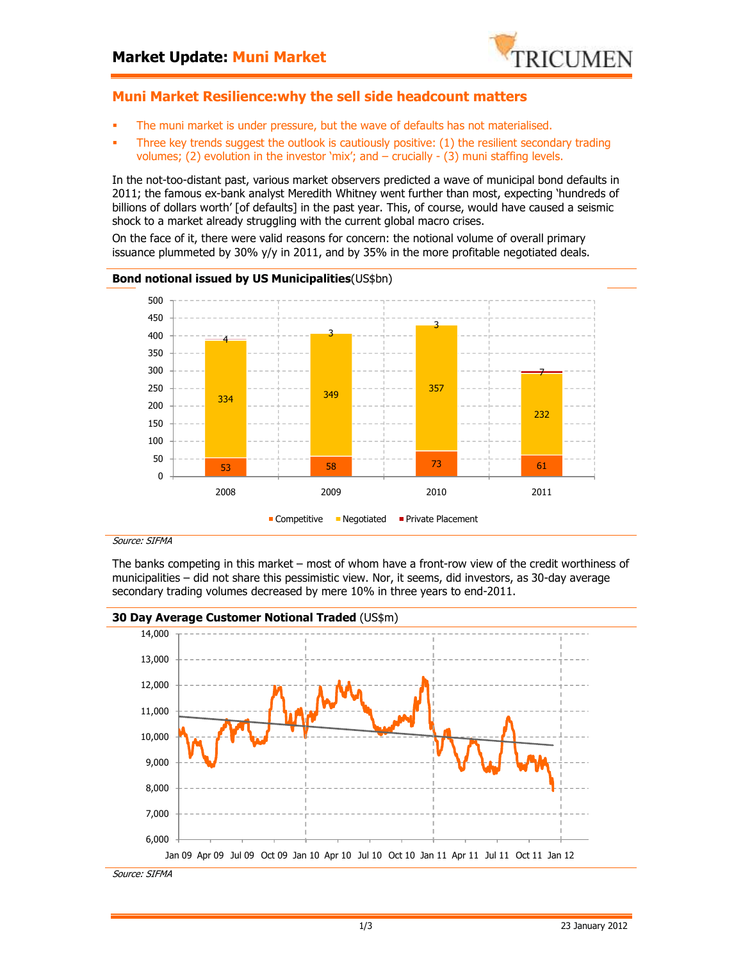

## **Muni Market Resilience:why the sell side headcount matters**

- The muni market is under pressure, but the wave of defaults has not materialised.
- Three key trends suggest the outlook is cautiously positive: (1) the resilient secondary trading volumes; (2) evolution in the investor 'mix'; and  $-\frac{1}{2}$  crucially  $-\frac{1}{2}$  muni staffing levels.

In the not-too-distant past, various market observers predicted a wave of municipal bond defaults in 2011; the famous ex-bank analyst Meredith Whitney went further than most, expecting 'hundreds of billions of dollars worth' [of defaults] in the past year. This, of course, would have caused a seismic shock to a market already struggling with the current global macro crises.

On the face of it, there were valid reasons for concern: the notional volume of overall primary issuance plummeted by 30% y/y in 2011, and by 35% in the more profitable negotiated deals.

#### **Bond notional issued by US Municipalities**(US\$bn) 53 58 58 73 73 61 <sup>334</sup> <sup>349</sup> <sup>357</sup> 232 <sup>4</sup> <sup>3</sup> 3 7 0 50 100 150 200 250 300 350 400 450 500 2008 2009 2010 2011  $\blacksquare$  Competitive  $\blacksquare$  Negotiated  $\blacksquare$  Private Placement

#### Source: SIFMA

The banks competing in this market – most of whom have a front-row view of the credit worthiness of municipalities – did not share this pessimistic view. Nor, it seems, did investors, as 30-day average secondary trading volumes decreased by mere 10% in three years to end-2011.

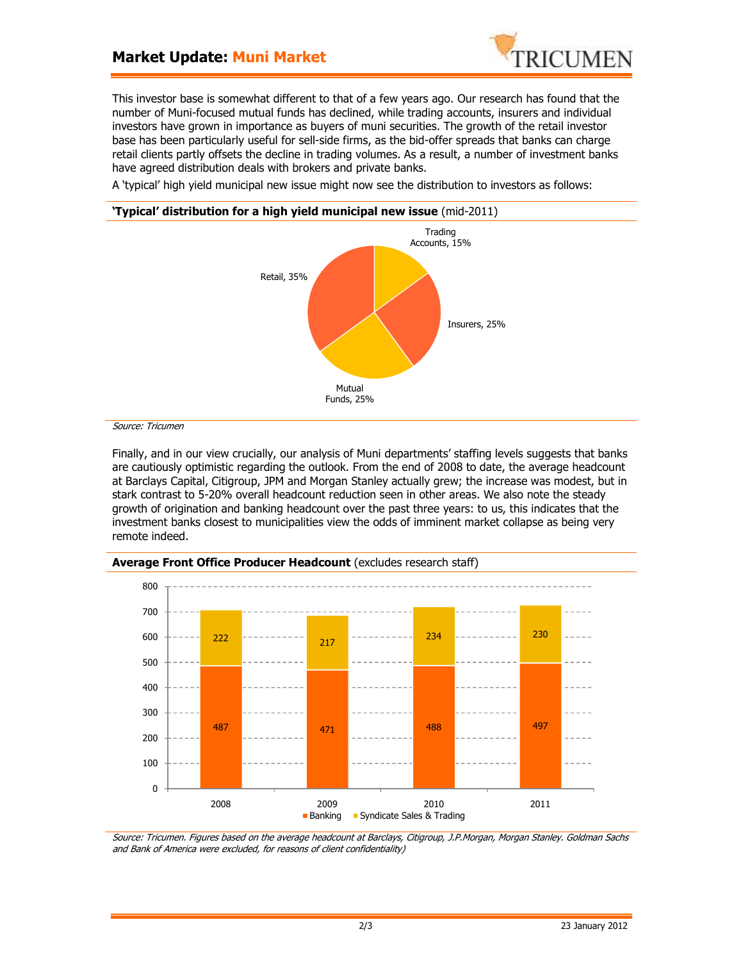# **Market Update: Muni Market**



This investor base is somewhat different to that of a few years ago. Our research has found that the number of Muni-focused mutual funds has declined, while trading accounts, insurers and individual investors have grown in importance as buyers of muni securities. The growth of the retail investor base has been particularly useful for sell-side firms, as the bid-offer spreads that banks can charge retail clients partly offsets the decline in trading volumes. As a result, a number of investment banks have agreed distribution deals with brokers and private banks.

A 'typical' high yield municipal new issue might now see the distribution to investors as follows:



Source: Tricumen

Finally, and in our view crucially, our analysis of Muni departments' staffing levels suggests that banks are cautiously optimistic regarding the outlook. From the end of 2008 to date, the average headcount at Barclays Capital, Citigroup, JPM and Morgan Stanley actually grew; the increase was modest, but in stark contrast to 5-20% overall headcount reduction seen in other areas. We also note the steady growth of origination and banking headcount over the past three years: to us, this indicates that the investment banks closest to municipalities view the odds of imminent market collapse as being very remote indeed.



**Average Front Office Producer Headcount** (excludes research staff)

Source: Tricumen. Figures based on the average headcount at Barclays, Citigroup, J.P.Morgan, Morgan Stanley. Goldman Sachs and Bank of America were excluded, for reasons of client confidentiality)